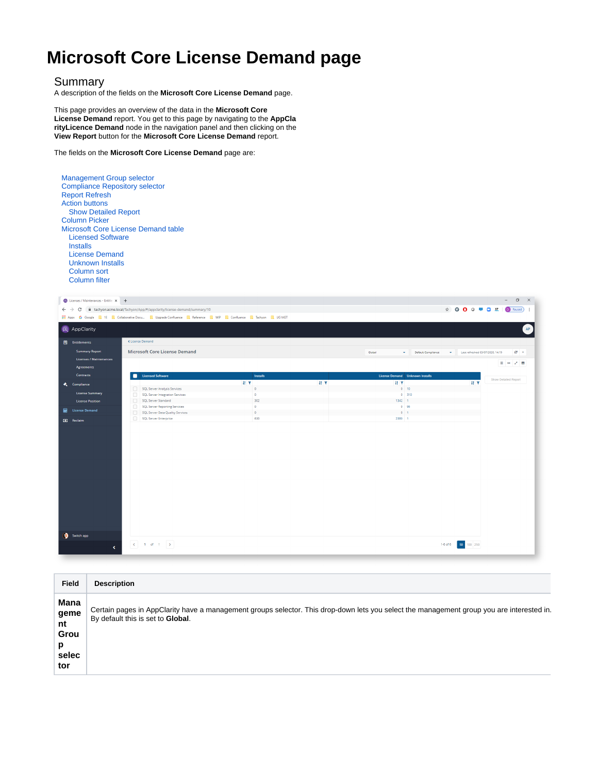## **Microsoft Core License Demand page**

## Summary

A description of the fields on the **Microsoft Core License Demand** page.

This page provides an overview of the data in the **Microsoft Core License Demand** report. You get to this page by navigating to the **AppCla rityLicence Demand** node in the navigation panel and then clicking on the **View Report** button for the **Microsoft Core License Demand** report.

The fields on the **Microsoft Core License Demand** page are:

1 of 1  $\rightarrow$ 

|  | <b>Compliance Repository selector</b><br><b>Report Refresh</b><br><b>Action buttons</b><br><b>Show Detailed Report</b><br><b>Column Picker</b><br><b>Licensed Software</b><br><b>Installs</b><br><b>License Demand</b><br><b>Unknown Installs</b><br><b>Column sort</b><br><b>Column filter</b> | <b>Management Group selector</b><br>Microsoft Core License Demand table                                                                                  |                  |          |                                                |                                                                                                                                                                                                                                                                                                                                                                                                                                 |                                                    |  |
|--|-------------------------------------------------------------------------------------------------------------------------------------------------------------------------------------------------------------------------------------------------------------------------------------------------|----------------------------------------------------------------------------------------------------------------------------------------------------------|------------------|----------|------------------------------------------------|---------------------------------------------------------------------------------------------------------------------------------------------------------------------------------------------------------------------------------------------------------------------------------------------------------------------------------------------------------------------------------------------------------------------------------|----------------------------------------------------|--|
|  | Licenses / Maintenances - Entitle X +                                                                                                                                                                                                                                                           |                                                                                                                                                          |                  |          |                                                |                                                                                                                                                                                                                                                                                                                                                                                                                                 | $\sigma$<br>$\times$                               |  |
|  | C                                                                                                                                                                                                                                                                                               | fil tachyon.acme.local/Tachyon/App/#/appclarity/license-demand/summary/10                                                                                |                  |          |                                                | $\qquad \qquad \, \hspace{1.5mm}\mbox{\begin{matrix} \pm 1 & \pm 1 & \pm 1 \\ \pm 1 & \pm 1 & \pm 1 \\ \pm 1 & \pm 1 & \pm 1 \end{matrix} \hspace{1.5mm}\mbox{\begin{matrix} \pm 1 & \pm 1 & \pm 1 \\ \pm 1 & \pm 1 & \pm 1 \\ \pm 1 & \pm 1 & \pm 1 \end{matrix} \hspace{1.5mm}\mbox{\begin{matrix} \pm 1 & \pm 1 & \pm 1 \\ \pm 1 & \pm 1 & \pm 1 \\ \pm 1 & \pm 1 & \pm 1 \end{matrix} \hspace{1.5mm}\mbox{\begin{matrix} \$ | D Paused :                                         |  |
|  |                                                                                                                                                                                                                                                                                                 | <b>Manufacture 19 Coople</b> 16 <b>Collaborative Docu Upgrade Confluence</b> Reference <b>R</b> WIP <b>R</b> Confluence <b>R</b> Tachyon <b>R</b> UG MGT |                  |          |                                                |                                                                                                                                                                                                                                                                                                                                                                                                                                 |                                                    |  |
|  | <b>Q</b> AppClarity                                                                                                                                                                                                                                                                             |                                                                                                                                                          |                  |          |                                                |                                                                                                                                                                                                                                                                                                                                                                                                                                 | AP                                                 |  |
|  | <b>E</b> Entitlements                                                                                                                                                                                                                                                                           | K License Demand                                                                                                                                         |                  |          |                                                |                                                                                                                                                                                                                                                                                                                                                                                                                                 |                                                    |  |
|  |                                                                                                                                                                                                                                                                                                 |                                                                                                                                                          |                  |          |                                                |                                                                                                                                                                                                                                                                                                                                                                                                                                 |                                                    |  |
|  | <b>Summary Report</b>                                                                                                                                                                                                                                                                           | <b>Microsoft Core License Demand</b>                                                                                                                     |                  |          | Global<br>Default Compliance<br>÷<br>$\bullet$ | Last refreshed 03/07/2020, 14:19                                                                                                                                                                                                                                                                                                                                                                                                | $\sigma$ .                                         |  |
|  | <b>Licenses / Maintenances</b>                                                                                                                                                                                                                                                                  |                                                                                                                                                          |                  |          |                                                |                                                                                                                                                                                                                                                                                                                                                                                                                                 |                                                    |  |
|  | <b>Agreements</b>                                                                                                                                                                                                                                                                               |                                                                                                                                                          |                  |          |                                                |                                                                                                                                                                                                                                                                                                                                                                                                                                 | $\rightarrow$ $\rightarrow$ $\rightarrow$ $\equiv$ |  |
|  | Contracts                                                                                                                                                                                                                                                                                       | <b>Licensed Software</b>                                                                                                                                 | Installs         |          | License Demand Unknown Installs                |                                                                                                                                                                                                                                                                                                                                                                                                                                 |                                                    |  |
|  | <b>K</b> Compliance                                                                                                                                                                                                                                                                             |                                                                                                                                                          | 11T              | $41 - T$ | $H$ $T$                                        | $H$ $T$                                                                                                                                                                                                                                                                                                                                                                                                                         | Show Detailed Report                               |  |
|  | <b>License Summary</b>                                                                                                                                                                                                                                                                          | SQL Server Analysis Services                                                                                                                             | $\circ$          |          | 0 10                                           |                                                                                                                                                                                                                                                                                                                                                                                                                                 |                                                    |  |
|  |                                                                                                                                                                                                                                                                                                 | SQL Server Integration Services<br>∩                                                                                                                     | $\bullet$        |          | $0 - 310$                                      |                                                                                                                                                                                                                                                                                                                                                                                                                                 |                                                    |  |
|  | <b>License Position</b>                                                                                                                                                                                                                                                                         | 0<br>SQL Server Standard<br><b>SQL Server Reporting Services</b><br>$\Box$                                                                               | 302<br>$\bullet$ |          | 1342 1<br>0 96                                 |                                                                                                                                                                                                                                                                                                                                                                                                                                 |                                                    |  |
|  | <b>Em</b> License Demand                                                                                                                                                                                                                                                                        | $\Box$<br>SQL Server Data Quality Services                                                                                                               | $\bullet$        |          | $0$ 1                                          |                                                                                                                                                                                                                                                                                                                                                                                                                                 |                                                    |  |
|  | <b>O</b> Reclaim                                                                                                                                                                                                                                                                                | O<br>SQL Server Enterprise                                                                                                                               | 630              |          | 2380 1                                         |                                                                                                                                                                                                                                                                                                                                                                                                                                 |                                                    |  |

| <b>Field</b>                                    | <b>Description</b>                                                                                                                                                             |
|-------------------------------------------------|--------------------------------------------------------------------------------------------------------------------------------------------------------------------------------|
| Mana<br>geme<br>nt<br>Grou<br>p<br>selec<br>tor | Certain pages in AppClarity have a management groups selector. This drop-down lets you select the management group you are interested in.<br>By default this is set to Global. |

1-6 of 6  $\begin{array}{|c|c|c|c|}\hline \textbf{50} & \textbf{100} & \textbf{250} \\ \hline \end{array}$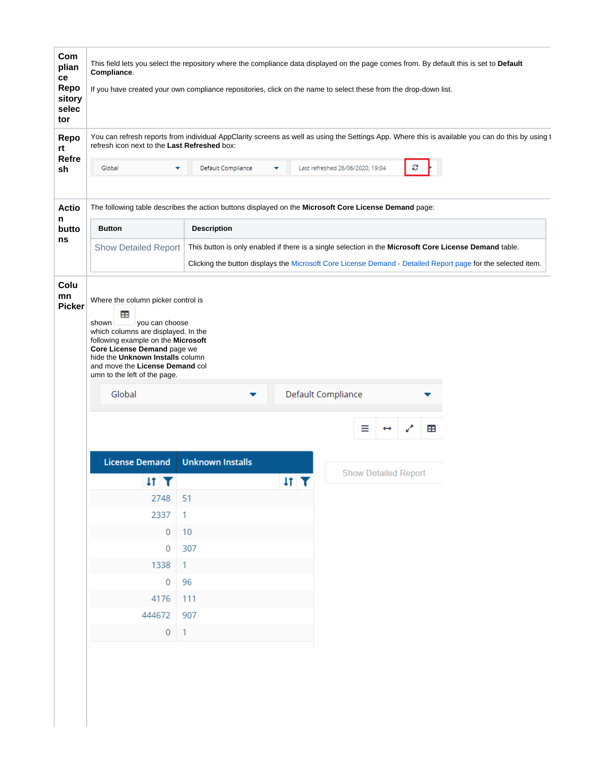| Com<br>plian<br>ce<br>Repo<br>sitory<br>selec<br>tor                                                                                                                                                                                                        | This field lets you select the repository where the compliance data displayed on the page comes from. By default this is set to Default<br>Compliance.<br>If you have created your own compliance repositories, click on the name to select these from the drop-down list.            |                                                                                                       |                                   |                                  |                             |   |  |  |  |
|-------------------------------------------------------------------------------------------------------------------------------------------------------------------------------------------------------------------------------------------------------------|---------------------------------------------------------------------------------------------------------------------------------------------------------------------------------------------------------------------------------------------------------------------------------------|-------------------------------------------------------------------------------------------------------|-----------------------------------|----------------------------------|-----------------------------|---|--|--|--|
| You can refresh reports from individual AppClarity screens as well as using the Settings App. Where this is available you can do this by using t<br>Repo<br>refresh icon next to the Last Refreshed box:<br>rt                                              |                                                                                                                                                                                                                                                                                       |                                                                                                       |                                   |                                  |                             |   |  |  |  |
| <b>Refre</b><br>sh                                                                                                                                                                                                                                          | Global                                                                                                                                                                                                                                                                                | Default Compliance                                                                                    |                                   | Last refreshed 26/06/2020, 19:04 | S                           |   |  |  |  |
| <b>Actio</b>                                                                                                                                                                                                                                                |                                                                                                                                                                                                                                                                                       | The following table describes the action buttons displayed on the Microsoft Core License Demand page: |                                   |                                  |                             |   |  |  |  |
| n<br>butto                                                                                                                                                                                                                                                  | <b>Button</b>                                                                                                                                                                                                                                                                         |                                                                                                       |                                   |                                  |                             |   |  |  |  |
| ns<br><b>Show Detailed Report</b><br>This button is only enabled if there is a single selection in the Microsoft Core License Demand table.<br>Clicking the button displays the Microsoft Core License Demand - Detailed Report page for the selected item. |                                                                                                                                                                                                                                                                                       |                                                                                                       |                                   |                                  |                             |   |  |  |  |
| Colu<br>mn<br><b>Picker</b>                                                                                                                                                                                                                                 | Where the column picker control is<br>æ<br>you can choose<br>shown<br>which columns are displayed. In the<br>following example on the Microsoft<br>Core License Demand page we<br>hide the Unknown Installs column<br>and move the License Demand col<br>umn to the left of the page. |                                                                                                       |                                   |                                  |                             |   |  |  |  |
|                                                                                                                                                                                                                                                             | Global                                                                                                                                                                                                                                                                                |                                                                                                       |                                   | Default Compliance               |                             |   |  |  |  |
|                                                                                                                                                                                                                                                             |                                                                                                                                                                                                                                                                                       |                                                                                                       |                                   | Ξ                                | $\mathbf{z}^{\mathbf{z}}$   | 田 |  |  |  |
|                                                                                                                                                                                                                                                             | <b>License Demand</b>                                                                                                                                                                                                                                                                 | <b>Unknown Installs</b>                                                                               |                                   |                                  |                             |   |  |  |  |
|                                                                                                                                                                                                                                                             | $\text{H}$ T                                                                                                                                                                                                                                                                          |                                                                                                       | $\text{If}$ $\overline{\text{f}}$ |                                  | <b>Show Detailed Report</b> |   |  |  |  |
|                                                                                                                                                                                                                                                             | 2748                                                                                                                                                                                                                                                                                  | 51                                                                                                    |                                   |                                  |                             |   |  |  |  |
|                                                                                                                                                                                                                                                             | 2337                                                                                                                                                                                                                                                                                  | 1                                                                                                     |                                   |                                  |                             |   |  |  |  |
|                                                                                                                                                                                                                                                             | $\overline{0}$                                                                                                                                                                                                                                                                        | 10                                                                                                    |                                   |                                  |                             |   |  |  |  |
|                                                                                                                                                                                                                                                             | 0                                                                                                                                                                                                                                                                                     | 307                                                                                                   |                                   |                                  |                             |   |  |  |  |
|                                                                                                                                                                                                                                                             | 1338                                                                                                                                                                                                                                                                                  | $\mathbf{1}$                                                                                          |                                   |                                  |                             |   |  |  |  |
|                                                                                                                                                                                                                                                             | 0                                                                                                                                                                                                                                                                                     | 96                                                                                                    |                                   |                                  |                             |   |  |  |  |
|                                                                                                                                                                                                                                                             | 4176                                                                                                                                                                                                                                                                                  | 111                                                                                                   |                                   |                                  |                             |   |  |  |  |
|                                                                                                                                                                                                                                                             | 444672                                                                                                                                                                                                                                                                                | 907                                                                                                   |                                   |                                  |                             |   |  |  |  |
|                                                                                                                                                                                                                                                             | $\overline{0}$                                                                                                                                                                                                                                                                        | $\mathbf{1}$                                                                                          |                                   |                                  |                             |   |  |  |  |
|                                                                                                                                                                                                                                                             |                                                                                                                                                                                                                                                                                       |                                                                                                       |                                   |                                  |                             |   |  |  |  |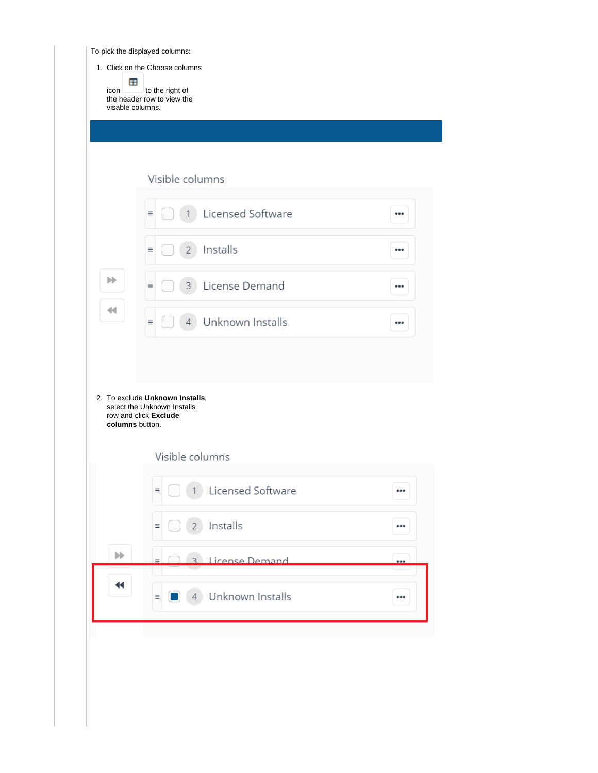To pick the displayed columns:

|                 | Visible columns                                                                         |  |
|-----------------|-----------------------------------------------------------------------------------------|--|
|                 | Licensed Software<br>Ξ                                                                  |  |
|                 | Installs<br>Ξ<br>2                                                                      |  |
| ▶▶              | License Demand<br>3<br>Ξ                                                                |  |
| 44              | Unknown Installs<br>$\equiv$<br>4                                                       |  |
|                 |                                                                                         |  |
|                 |                                                                                         |  |
| columns button. | 2. To exclude Unknown Installs,<br>select the Unknown Installs<br>row and click Exclude |  |
|                 | Visible columns                                                                         |  |
|                 | Licensed Software<br>$\equiv$                                                           |  |
|                 | Installs<br>$2^{\circ}$<br>$\equiv$                                                     |  |
| $\mathbb{N}$    | <b>License Demand</b><br>$\mathcal{R}$<br>$=$                                           |  |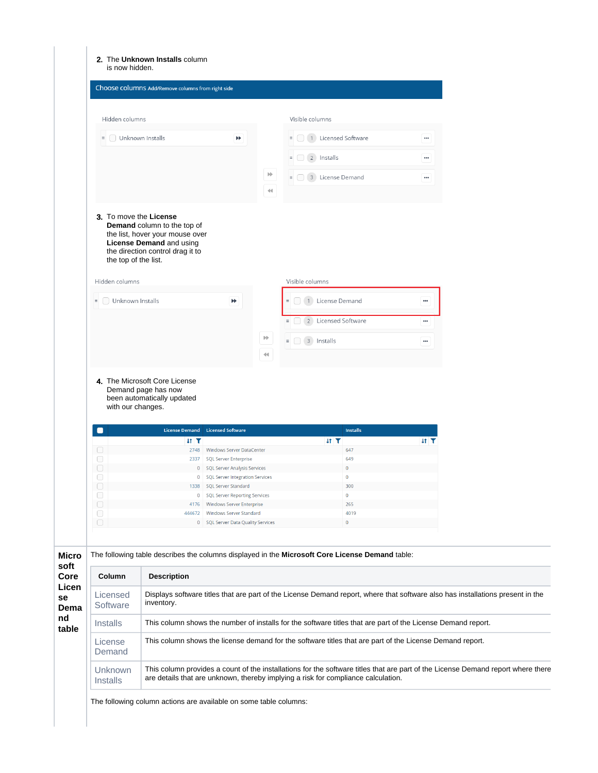| 2. The Unknown Installs column |  |
|--------------------------------|--|
| is now hidden.                 |  |

| Hidden columns                                                                                                                                                                          |                                                                  |                           | Visible columns                     |          |
|-----------------------------------------------------------------------------------------------------------------------------------------------------------------------------------------|------------------------------------------------------------------|---------------------------|-------------------------------------|----------|
| Unknown Installs<br>$\equiv$                                                                                                                                                            | ÞÞ                                                               |                           | 1 Licensed Software<br>$\equiv$     |          |
|                                                                                                                                                                                         |                                                                  |                           | 2 Installs<br>$\equiv$              |          |
|                                                                                                                                                                                         |                                                                  | ÞÞ                        | 3 License Demand<br>$\equiv$        | $\cdots$ |
|                                                                                                                                                                                         |                                                                  | $\blacktriangleleft$      |                                     |          |
| 3. To move the License<br><b>Demand</b> column to the top of<br>the list, hover your mouse over<br>License Demand and using<br>the direction control drag it to<br>the top of the list. |                                                                  |                           |                                     |          |
| Hidden columns                                                                                                                                                                          |                                                                  |                           | Visible columns                     |          |
| Unknown Installs<br>$\equiv$                                                                                                                                                            | ÞÞ                                                               |                           | 1 License Demand<br>$\equiv$        |          |
|                                                                                                                                                                                         |                                                                  |                           | 2 Licensed Software<br>$\equiv$     | $\cdots$ |
|                                                                                                                                                                                         |                                                                  | $\mathbb{H}^{\mathbb{N}}$ | $\equiv$ $\Box$ 3 Installs          |          |
|                                                                                                                                                                                         |                                                                  | $\blacktriangleleft$      |                                     |          |
| 4. The Microsoft Core License<br>Demand page has now<br>been automatically updated<br>with our changes.<br>License Demand<br>O<br>$H$ T                                                 | <b>Licensed Software</b>                                         |                           | <b>Installs</b><br>$H$ $\mathbf{T}$ | $11$ T   |
| O                                                                                                                                                                                       | 2748 Windows Server DataCenter                                   |                           | 647                                 |          |
| $\Box$<br>2337                                                                                                                                                                          | <b>SQL Server Enterprise</b>                                     |                           | 649                                 |          |
|                                                                                                                                                                                         | 0   SQL Server Analysis Services                                 |                           | $\mathbf 0$                         |          |
| $\Box$                                                                                                                                                                                  | 0   SQL Server Integration Services                              |                           | $\overline{0}$                      |          |
| 0                                                                                                                                                                                       |                                                                  |                           | 300                                 |          |
| $\hspace{1.5cm} \square$                                                                                                                                                                | 1338 SQL Server Standard                                         |                           |                                     |          |
| 0                                                                                                                                                                                       | 0   SQL Server Reporting Services                                |                           | $\overline{0}$                      |          |
| $\Box$<br>0                                                                                                                                                                             | 4176 Windows Server Enterprise<br>444672 Windows Server Standard |                           | 265<br>4019                         |          |

| soft                                       |                                   |                                                                                                                                                                                                                       |
|--------------------------------------------|-----------------------------------|-----------------------------------------------------------------------------------------------------------------------------------------------------------------------------------------------------------------------|
| Core<br>Licen<br>se<br>Dema<br>nd<br>table | Column                            | <b>Description</b>                                                                                                                                                                                                    |
|                                            | Licensed<br>Software              | Displays software titles that are part of the License Demand report, where that software also has installations present in the<br>inventory.                                                                          |
|                                            | <b>Installs</b>                   | This column shows the number of installs for the software titles that are part of the License Demand report.                                                                                                          |
|                                            | License<br>Demand                 | This column shows the license demand for the software titles that are part of the License Demand report.                                                                                                              |
|                                            | <b>Unknown</b><br><i>Installs</i> | This column provides a count of the installations for the software titles that are part of the License Demand report where there<br>are details that are unknown, thereby implying a risk for compliance calculation. |
|                                            |                                   |                                                                                                                                                                                                                       |

The following column actions are available on some table columns: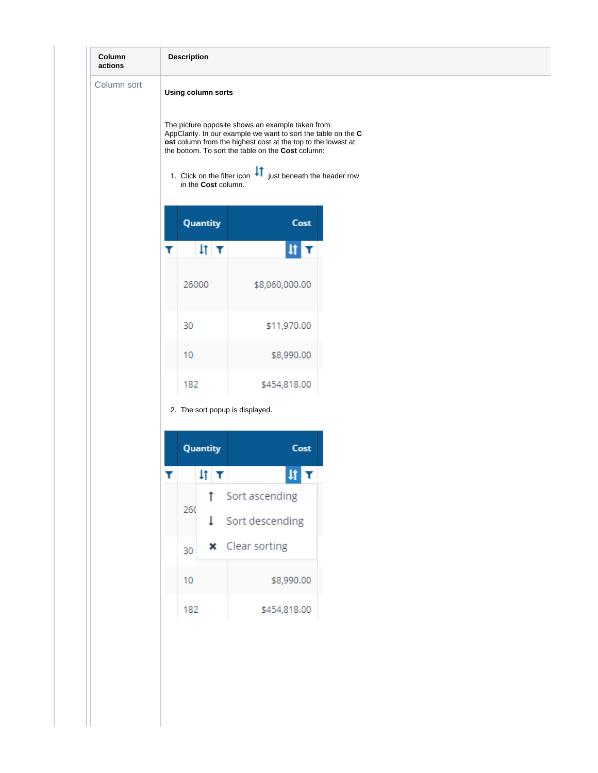| Column<br>actions |                    | <b>Description</b>              |                                                                                                                                                                                                                                                                                                               |  |  |  |  |
|-------------------|--------------------|---------------------------------|---------------------------------------------------------------------------------------------------------------------------------------------------------------------------------------------------------------------------------------------------------------------------------------------------------------|--|--|--|--|
| Column sort       | Using column sorts |                                 |                                                                                                                                                                                                                                                                                                               |  |  |  |  |
|                   |                    | in the Cost column.             | The picture opposite shows an example taken from<br>AppClarity. In our example we want to sort the table on the C<br>ost column from the highest cost at the top to the lowest at<br>the bottom. To sort the table on the Cost column:<br>1. Click on the filter icon $\text{If}$ just beneath the header row |  |  |  |  |
|                   |                    | Quantity                        | Cost                                                                                                                                                                                                                                                                                                          |  |  |  |  |
|                   | ▼                  | $\sharp$ $\tau$                 | 井区                                                                                                                                                                                                                                                                                                            |  |  |  |  |
|                   |                    | 26000                           | \$8,060,000.00                                                                                                                                                                                                                                                                                                |  |  |  |  |
|                   |                    | 30                              | \$11,970.00                                                                                                                                                                                                                                                                                                   |  |  |  |  |
|                   |                    | 10                              | \$8,990.00                                                                                                                                                                                                                                                                                                    |  |  |  |  |
|                   |                    | 182                             | \$454,818.00                                                                                                                                                                                                                                                                                                  |  |  |  |  |
|                   |                    | 2. The sort popup is displayed. |                                                                                                                                                                                                                                                                                                               |  |  |  |  |
|                   |                    | Quantity                        | Cost                                                                                                                                                                                                                                                                                                          |  |  |  |  |
|                   | T                  | 41 T                            |                                                                                                                                                                                                                                                                                                               |  |  |  |  |

|  |     | ٠I | И                      |
|--|-----|----|------------------------|
|  | 260 |    | Sort ascending         |
|  |     | 1  | Sort descending        |
|  | 30  |    | <b>x</b> Clear sorting |
|  | 10  |    | \$8,990.00             |
|  | 182 |    | \$454,818.00           |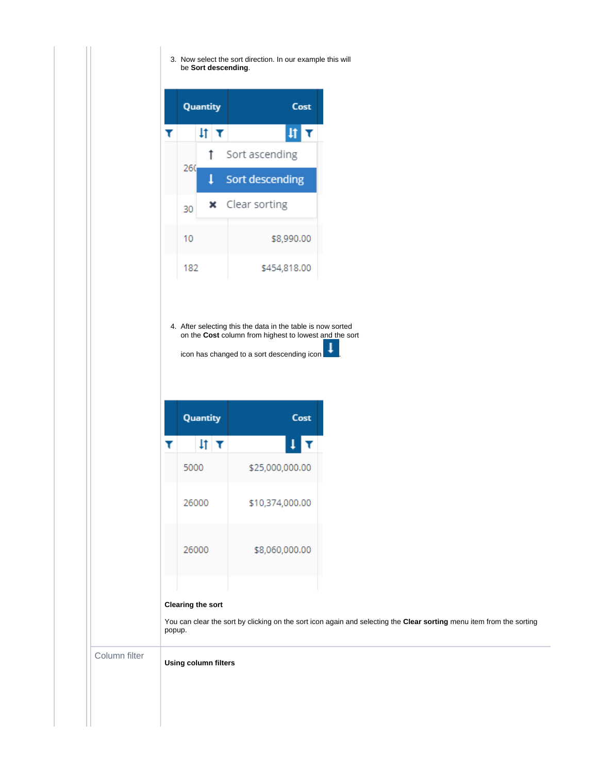3. Now select the sort direction. In our example this will be **Sort descending**.



4. After selecting this the data in the table is now sorted on the **Cost** column from highest to lowest and the sort

icon has changed to a sort descending icon

| Quantity | Cost            |
|----------|-----------------|
| 1t<br>T  | 1               |
| 5000     | \$25,000,000.00 |
| 26000    | \$10,374,000.00 |
| 26000    | \$8,060,000.00  |
|          |                 |

## **Clearing the sort**

You can clear the sort by clicking on the sort icon again and selecting the **Clear sorting** menu item from the sorting popup.

Column filter

**Using column filters**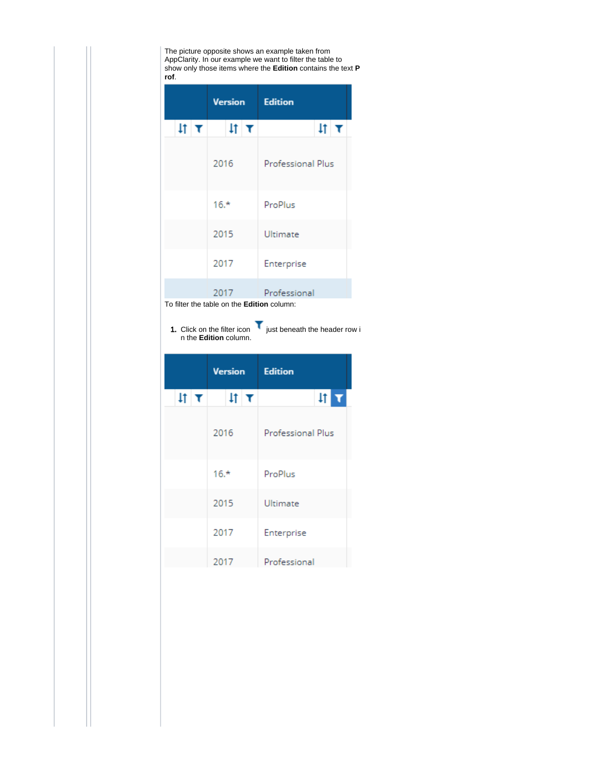The picture opposite shows an example taken from AppClarity. In our example we want to filter the table to show only those items where the **Edition** contains the text **P rof**.

|              | <b>Version</b>                             | <b>Edition</b>              |
|--------------|--------------------------------------------|-----------------------------|
| $\text{H}$ T | $\text{H}$ T                               | $\text{If} \mid \textbf{t}$ |
|              | 2016                                       | Professional Plus           |
|              | $16.*$                                     | ProPlus                     |
|              | 2015                                       | Ultimate                    |
|              | 2017                                       | Enterprise                  |
|              | 2017                                       | Professional                |
|              | To filter the table on the Edition column: |                             |

1. Click on the filter icon just beneath the header row i

n the **Edition** column.

|              | Version | <b>Edition</b>           |
|--------------|---------|--------------------------|
| $\text{H}$ T | 41 T    | $\frac{1}{2}$            |
|              | 2016    | <b>Professional Plus</b> |
|              | $16.*$  | ProPlus                  |
|              | 2015    | Ultimate                 |
|              | 2017    | Enterprise               |
|              | 2017    | Professional             |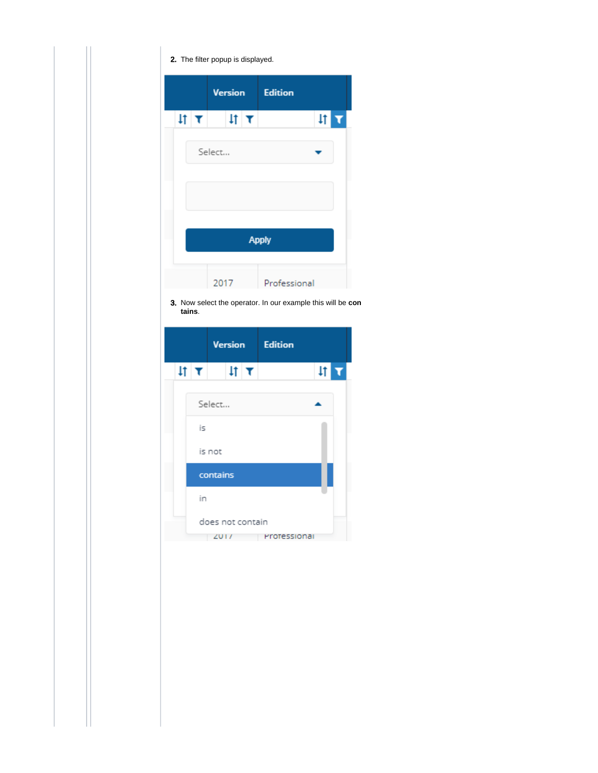|  |               | 2. The filter popup is displayed. |   |                |    |  |
|--|---------------|-----------------------------------|---|----------------|----|--|
|  |               | Version                           |   | <b>Edition</b> |    |  |
|  | $\frac{1}{2}$ | $\downarrow$ t                    | τ |                | 1t |  |
|  |               | Select                            |   |                |    |  |
|  |               |                                   |   | <b>Apply</b>   |    |  |
|  |               | 2017                              |   | Professional   |    |  |

3. Now select the operator. In our example this will be **con tains**.

|              |                          | Version      | <b>Edition</b> |               |
|--------------|--------------------------|--------------|----------------|---------------|
| $\text{H}$ T |                          | $\text{H}$ T |                | $\frac{1}{2}$ |
|              | Select                   |              |                |               |
| is           |                          |              |                |               |
|              | is not                   |              |                |               |
|              | contains                 |              |                |               |
| in           |                          |              |                |               |
|              | does not contain<br>2011 |              | Protessional   |               |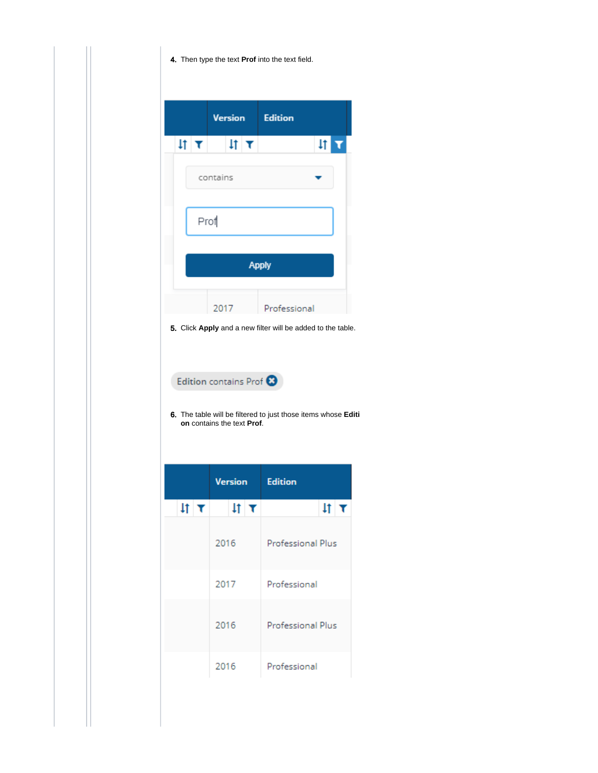4. Then type the text **Prof** into the text field.

|                       |          | <b>Version</b> |              | <b>Edition</b> |            |                         |
|-----------------------|----------|----------------|--------------|----------------|------------|-------------------------|
| $\text{H}$ $\text{T}$ |          |                | $\text{H}$ T |                | $\ddagger$ | $\overline{\mathbf{r}}$ |
|                       | contains |                |              |                |            |                         |
|                       | Prof     |                |              |                |            |                         |
|                       |          |                |              |                |            |                         |
|                       |          |                |              | <b>Apply</b>   |            |                         |
|                       |          |                |              |                |            |                         |
|                       | 2017     |                |              | Professional   |            |                         |

5. Click **Apply** and a new filter will be added to the table.

Edition contains Prof<sup>3</sup>

6. The table will be filtered to just those items whose **Editi on** contains the text **Prof**.

|                  | <b>Version</b> | <b>Edition</b>           |
|------------------|----------------|--------------------------|
| $\text{if}~\tau$ | $\text{H}$ T   | $\sharp$ t               |
|                  | 2016           | Professional Plus        |
|                  | 2017           | Professional             |
|                  | 2016           | <b>Professional Plus</b> |
|                  | 2016           | Professional             |